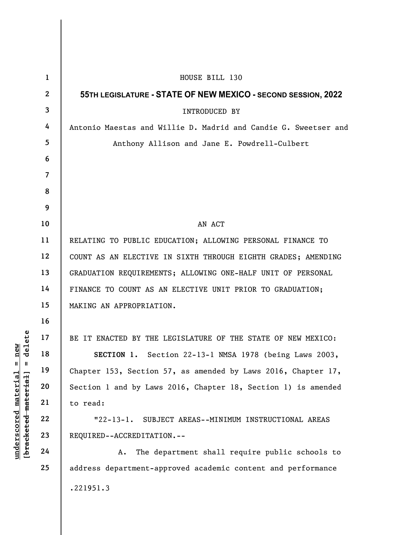|                                                | $\mathbf{1}$    | HOUSE BILL 130                                                  |
|------------------------------------------------|-----------------|-----------------------------------------------------------------|
|                                                | $\mathbf{2}$    | 55TH LEGISLATURE - STATE OF NEW MEXICO - SECOND SESSION, 2022   |
|                                                | $\mathbf{3}$    | <b>INTRODUCED BY</b>                                            |
|                                                | 4               | Antonio Maestas and Willie D. Madrid and Candie G. Sweetser and |
|                                                | $5\overline{)}$ | Anthony Allison and Jane E. Powdrell-Culbert                    |
|                                                | 6               |                                                                 |
|                                                | $\overline{7}$  |                                                                 |
|                                                | 8               |                                                                 |
|                                                | 9               |                                                                 |
|                                                | 10              | AN ACT                                                          |
|                                                | 11              | RELATING TO PUBLIC EDUCATION; ALLOWING PERSONAL FINANCE TO      |
|                                                | 12              | COUNT AS AN ELECTIVE IN SIXTH THROUGH EIGHTH GRADES; AMENDING   |
|                                                | 13              | GRADUATION REQUIREMENTS; ALLOWING ONE-HALF UNIT OF PERSONAL     |
|                                                | 14              | FINANCE TO COUNT AS AN ELECTIVE UNIT PRIOR TO GRADUATION;       |
|                                                | 15              | MAKING AN APPROPRIATION.                                        |
|                                                | 16              |                                                                 |
| delete                                         | 17              | BE IT ENACTED BY THE LEGISLATURE OF THE STATE OF NEW MEXICO:    |
| new<br>Ш                                       | 18              | SECTION 1. Section 22-13-1 NMSA 1978 (being Laws 2003,          |
| $^{\mathsf{II}}$                               | 19              | Chapter 153, Section 57, as amended by Laws 2016, Chapter 17,   |
|                                                | 20              | Section 1 and by Laws 2016, Chapter 18, Section 1) is amended   |
|                                                | 21              | to read:                                                        |
|                                                | 22              | $"22-13-1.$<br>SUBJECT AREAS--MINIMUM INSTRUCTIONAL AREAS       |
| [bracketed material]<br>$underscored$ material | 23              | REQUIRED--ACCREDITATION.--                                      |
|                                                | 24              | The department shall require public schools to<br>A.            |
|                                                | 25              | address department-approved academic content and performance    |
|                                                |                 | .221951.3                                                       |
|                                                |                 |                                                                 |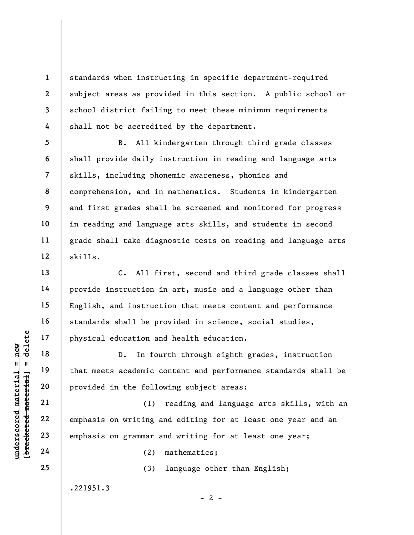standards when instructing in specific department-required subject areas as provided in this section. A public school or school district failing to meet these minimum requirements shall not be accredited by the department.

B. All kindergarten through third grade classes shall provide daily instruction in reading and language arts skills, including phonemic awareness, phonics and comprehension, and in mathematics. Students in kindergarten and first grades shall be screened and monitored for progress in reading and language arts skills, and students in second grade shall take diagnostic tests on reading and language arts skills.

C. All first, second and third grade classes shall provide instruction in art, music and a language other than English, and instruction that meets content and performance standards shall be provided in science, social studies, physical education and health education.

understand material education and<br>  $\begin{bmatrix}\n1 & 1 & 1 & 1 \\
0 & 1 & 1 & 1 & 1 \\
0 & 0 & 0 & 0 & 0 \\
0 & 0 & 0 & 0 & 0 \\
0 & 0 & 0 & 0 & 0 \\
0 & 0 & 0 & 0 & 0 \\
0 & 0 & 0 & 0 & 0 \\
0 & 0 & 0 & 0 & 0 \\
0 & 0 & 0 & 0 & 0 \\
0 & 0 & 0 & 0 & 0 \\
0 & 0 & 0 & 0 & 0 \\
0 & 0 & 0 & 0 & 0 \\
0 & 0 & 0 & 0 & 0 \\$ D. In fourth through eighth grades, instruction that meets academic content and performance standards shall be provided in the following subject areas:

(1) reading and language arts skills, with an emphasis on writing and editing for at least one year and an emphasis on grammar and writing for at least one year;

(2) mathematics;

(3) language other than English;

 $- 2 -$ 

.221951.3

1

2

3

4

5

6

7

8

9

10

11

12

13

14

15

16

17

18

19

20

21

22

23

24

25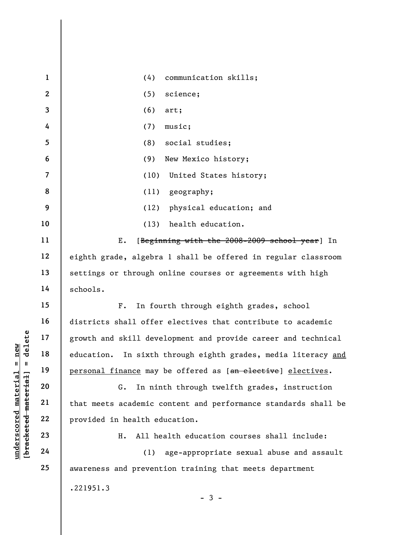|                                             | $\mathbf{1}$   | (4)<br>communication skills;                                     |
|---------------------------------------------|----------------|------------------------------------------------------------------|
|                                             | $\mathbf{2}$   | (5)<br>science;                                                  |
|                                             | $\mathbf{3}$   | (6)<br>art;                                                      |
|                                             | 4              | (7)<br>music;                                                    |
|                                             | 5              | social studies;<br>(8)                                           |
|                                             | 6              | New Mexico history;<br>(9)                                       |
|                                             | $\overline{7}$ | (10)<br>United States history;                                   |
|                                             | 8              | geography;<br>(11)                                               |
|                                             | 9              | physical education; and<br>(12)                                  |
|                                             | 10             | health education.<br>(13)                                        |
|                                             | 11             | Ε.<br>[Beginning with the 2008-2009 school year] In              |
|                                             | 12             | eighth grade, algebra 1 shall be offered in regular classroom    |
|                                             | 13             | settings or through online courses or agreements with high       |
|                                             | 14             | schools.                                                         |
|                                             | 15             | In fourth through eighth grades, school<br>$F$ .                 |
|                                             | 16             | districts shall offer electives that contribute to academic      |
| delete                                      | 17             | growth and skill development and provide career and technical    |
| new                                         | 18             | education.<br>In sixth through eighth grades, media literacy and |
| $\mathbf{II}^-$<br>Ш                        | 19             | personal finance may be offered as [an elective] electives.      |
|                                             | 20             | In ninth through twelfth grades, instruction<br>G.               |
|                                             | 21             | that meets academic content and performance standards shall be   |
| underscored material<br>[bracketed material | 22             | provided in health education.                                    |
|                                             | 23             | All health education courses shall include:<br>н.                |
|                                             | 24             | age-appropriate sexual abuse and assault<br>(1)                  |
|                                             | 25             | awareness and prevention training that meets department          |
|                                             |                | .221951.3                                                        |
|                                             |                | $-3 -$                                                           |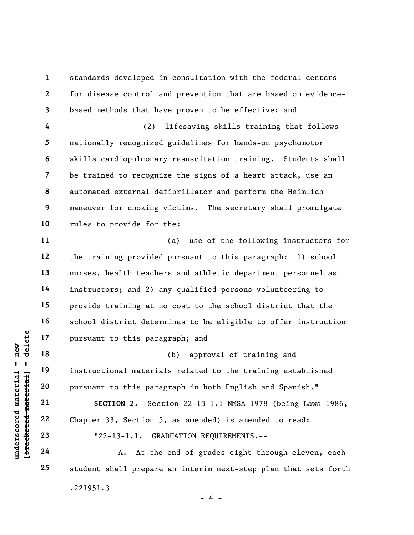8 standards developed in consultation with the federal centers for disease control and prevention that are based on evidencebased methods that have proven to be effective; and (2) lifesaving skills training that follows nationally recognized guidelines for hands-on psychomotor skills cardiopulmonary resuscitation training. Students shall be trained to recognize the signs of a heart attack, use an automated external defibrillator and perform the Heimlich maneuver for choking victims. The secretary shall promulgate rules to provide for the:

(a) use of the following instructors for the training provided pursuant to this paragraph: 1) school nurses, health teachers and athletic department personnel as instructors; and 2) any qualified persons volunteering to provide training at no cost to the school district that the school district determines to be eligible to offer instruction pursuant to this paragraph; and

underscored material = new [bracketed material] = delete (b) approval of training and instructional materials related to the training established pursuant to this paragraph in both English and Spanish."

SECTION 2. Section 22-13-1.1 NMSA 1978 (being Laws 1986, Chapter 33, Section 5, as amended) is amended to read: "22-13-1.1. GRADUATION REQUIREMENTS.--

A. At the end of grades eight through eleven, each student shall prepare an interim next-step plan that sets forth .221951.3  $- 4 -$ 

1

2

3

4

5

6

7

9

10

11

12

13

14

15

16

17

18

19

20

21

22

23

24

25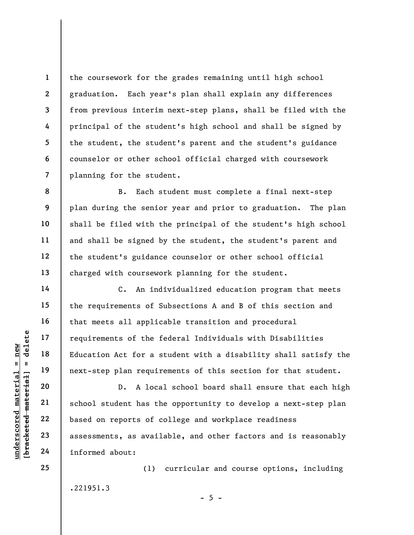the coursework for the grades remaining until high school graduation. Each year's plan shall explain any differences from previous interim next-step plans, shall be filed with the principal of the student's high school and shall be signed by the student, the student's parent and the student's guidance counselor or other school official charged with coursework planning for the student.

B. Each student must complete a final next-step plan during the senior year and prior to graduation. The plan shall be filed with the principal of the student's high school and shall be signed by the student, the student's parent and the student's guidance counselor or other school official charged with coursework planning for the student.

C. An individualized education program that meets the requirements of Subsections A and B of this section and that meets all applicable transition and procedural requirements of the federal Individuals with Disabilities Education Act for a student with a disability shall satisfy the next-step plan requirements of this section for that student.

underscore of the fitting and the material of the fitting in the matterial school student has the contract of contract as assessments, as avail informed about: D. A local school board shall ensure that each high school student has the opportunity to develop a next-step plan based on reports of college and workplace readiness assessments, as available, and other factors and is reasonably informed about:

.221951.3

(1) curricular and course options, including

 $- 5 -$ 

1

2

3

4

5

6

7

8

9

10

11

12

13

14

15

16

17

18

19

20

21

22

23

24

25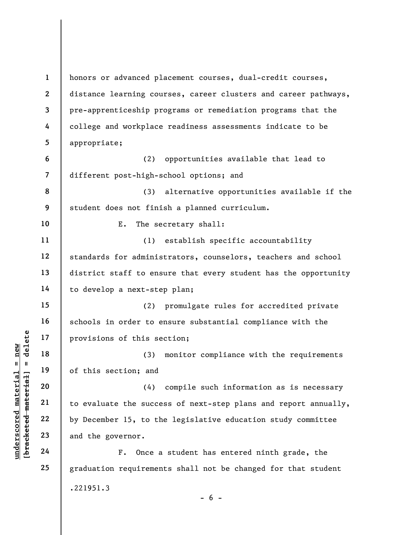understand material material experience of this section; and<br>
understand the section; and<br>
understand the succe<br>
who been the succe<br>
by December 15, to the<br>
23<br>
and the governor.<br>
24<br>
F. Once a 1 2 3 4 5 6 7 8 9 10 11 12 13 14 15 16 17 18 19 20 21 22 23 24 25 honors or advanced placement courses, dual-credit courses, distance learning courses, career clusters and career pathways, pre-apprenticeship programs or remediation programs that the college and workplace readiness assessments indicate to be appropriate; (2) opportunities available that lead to different post-high-school options; and (3) alternative opportunities available if the student does not finish a planned curriculum. E. The secretary shall: (1) establish specific accountability standards for administrators, counselors, teachers and school district staff to ensure that every student has the opportunity to develop a next-step plan; (2) promulgate rules for accredited private schools in order to ensure substantial compliance with the provisions of this section; (3) monitor compliance with the requirements of this section; and (4) compile such information as is necessary to evaluate the success of next-step plans and report annually, by December 15, to the legislative education study committee and the governor. F. Once a student has entered ninth grade, the graduation requirements shall not be changed for that student .221951.3  $- 6 -$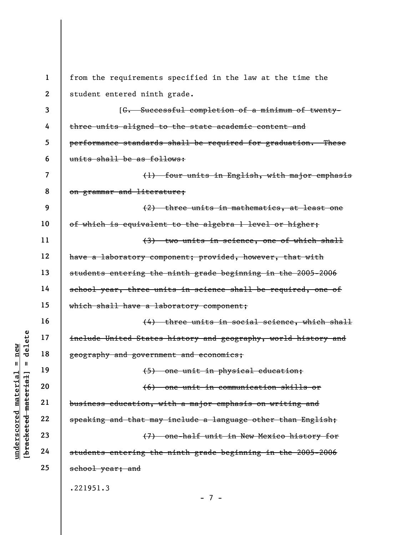$\begin{array}{c|c|c|c} \mathbf{u} & \mathbf{u} & \mathbf{v} & \mathbf{v} & \mathbf{v} & \mathbf{v} & \mathbf{v} & \mathbf{v} & \mathbf{v} & \mathbf{v} & \mathbf{v} & \mathbf{v} & \mathbf{v} & \mathbf{v} & \mathbf{v} & \mathbf{v} & \mathbf{v} & \mathbf{v} & \mathbf{v} & \mathbf{v} & \mathbf{v} & \mathbf{v} & \mathbf{v} & \mathbf{v} & \mathbf{v} & \mathbf{v} & \mathbf{v} & \mathbf{v} & \mathbf{v} & \mathbf{$ 1 2 3 4 5 6 7 8 9 10 11 12 13 14 15 16 17 18 19 20 21 22 23 24 25 from the requirements specified in the law at the time the student entered ninth grade. [G. Successful completion of a minimum of twentythree units aligned to the state academic content and performance standards shall be required for graduation. These units shall be as follows: (1) four units in English, with major emphasis on grammar and literature; (2) three units in mathematics, at least one of which is equivalent to the algebra 1 level or higher; (3) two units in science, one of which shall have a laboratory component; provided, however, that with students entering the ninth grade beginning in the 2005-2006 school year, three units in science shall be required, one of which shall have a laboratory component; (4) three units in social science, which shall include United States history and geography, world history and geography and government and economics; (5) one unit in physical education; (6) one unit in communication skills or business education, with a major emphasis on writing and speaking and that may include a language other than English; (7) one-half unit in New Mexico history for students entering the ninth grade beginning in the 2005-2006 school year; and .221951.3 - 7 -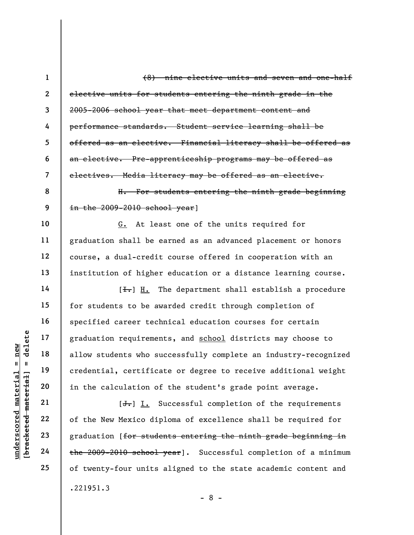under 17<br>
allow students who superior allow students who superior allow students who superior allow students who superior and the calculation of<br>
allow students who superior and the calculation of  $\begin{array}{c|c} \n\text{Equation of} & \text{Equation$ 2 3 4 5 6 7 8 9 10 11 12 13 14 15 16 17 18 19 20 21 22 23 24 25 elective units for students entering the ninth grade in the 2005-2006 school year that meet department content and performance standards. Student service learning shall be offered as an elective. Financial literacy shall be offered as an elective. Pre-apprenticeship programs may be offered as electives. Media literacy may be offered as an elective. H. For students entering the ninth grade beginning in the 2009-2010 school year] G. At least one of the units required for graduation shall be earned as an advanced placement or honors course, a dual-credit course offered in cooperation with an institution of higher education or a distance learning course.  $[\frac{1}{\sqrt{1}}]$  H. The department shall establish a procedure for students to be awarded credit through completion of specified career technical education courses for certain graduation requirements, and school districts may choose to allow students who successfully complete an industry-recognized credential, certificate or degree to receive additional weight in the calculation of the student's grade point average.  $[J<sub>r</sub>]$  I. Successful completion of the requirements of the New Mexico diploma of excellence shall be required for graduation [for students entering the ninth grade beginning in the 2009-2010 school year]. Successful completion of a minimum of twenty-four units aligned to the state academic content and .221951.3

(8) nine elective units and seven and one-half

1

- 8 -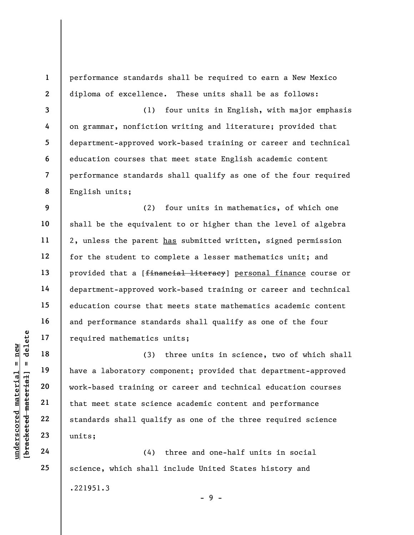1 2 3 4 5 6 7 8 9 10 11 12 13 14 15 16 17 performance standards shall be required to earn a New Mexico diploma of excellence. These units shall be as follows: (1) four units in English, with major emphasis on grammar, nonfiction writing and literature; provided that department-approved work-based training or career and technical education courses that meet state English academic content performance standards shall qualify as one of the four required English units; (2) four units in mathematics, of which one shall be the equivalent to or higher than the level of algebra 2, unless the parent has submitted written, signed permission for the student to complete a lesser mathematics unit; and provided that a [financial literacy] personal finance course or department-approved work-based training or career and technical education course that meets state mathematics academic content and performance standards shall qualify as one of the four required mathematics units;

underscored mathematics<br>  $\begin{bmatrix}\n1 & 1 & 1 & 1 \\
0 & 1 & 0 & 0 \\
0 & 0 & 0 & 0 \\
0 & 0 & 0 & 0 \\
0 & 0 & 0 & 0 \\
0 & 0 & 0 & 0 \\
0 & 0 & 0 & 0 \\
0 & 0 & 0 & 0 \\
0 & 0 & 0 & 0 \\
0 & 0 & 0 & 0 \\
0 & 0 & 0 & 0 \\
0 & 0 & 0 & 0 \\
0 & 0 & 0 & 0 \\
0 & 0 & 0 & 0 \\
0 & 0 & 0 & 0 \\
0 & 0 & 0 & 0 \\
0 & 0 & 0 & 0 \\
0 &$ (3) three units in science, two of which shall have a laboratory component; provided that department-approved work-based training or career and technical education courses that meet state science academic content and performance standards shall qualify as one of the three required science units;

(4) three and one-half units in social science, which shall include United States history and .221951.3

18

19

20

21

22

23

24

25

 $-9 -$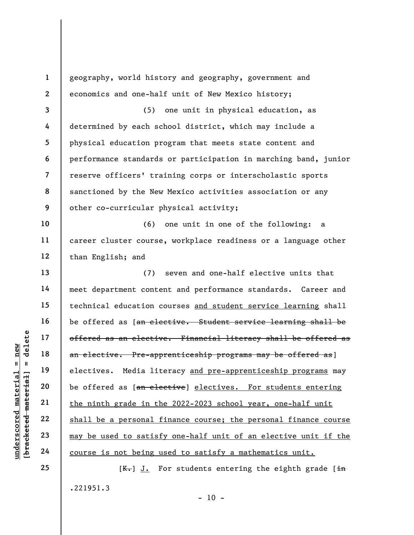underscores and the same offered as a telective<br>  $\begin{array}{c|c|c|c} \multicolumn{1}{c|}{\text{all}} & \multicolumn{1}{c}{\text{all}} & \multicolumn{1}{c}{\text{offerred as an electric}} \ \hline \multicolumn{1}{c}{\text{all}} & \multicolumn{1}{c}{\text{all}} & \multicolumn{1}{c}{\text{all}} & \multicolumn{1}{c}{\text{electives.} & \text{Media} & \text{lit} \ \hline \multicolumn{1}{c}{\text{all}} & \multicolumn{1}{c}{\text{al}}$ 1 2 3 4 5 6 7 8 9 10 11 12 13 14 15 16 17 18 19 20 21 22 23 24 25 geography, world history and geography, government and economics and one-half unit of New Mexico history; (5) one unit in physical education, as determined by each school district, which may include a physical education program that meets state content and performance standards or participation in marching band, junior reserve officers' training corps or interscholastic sports sanctioned by the New Mexico activities association or any other co-curricular physical activity; (6) one unit in one of the following: a career cluster course, workplace readiness or a language other than English; and (7) seven and one-half elective units that meet department content and performance standards. Career and technical education courses and student service learning shall be offered as [an elective. Student service learning shall be offered as an elective. Financial literacy shall be offered as an elective. Pre-apprenticeship programs may be offered as] electives. Media literacy and pre-apprenticeship programs may be offered as [an elective] electives. For students entering the ninth grade in the 2022-2023 school year, one-half unit shall be a personal finance course; the personal finance course may be used to satisfy one-half unit of an elective unit if the course is not being used to satisfy a mathematics unit.  $[K-]$  J. For students entering the eighth grade  $\overline{in}$ 

.221951.3

 $- 10 -$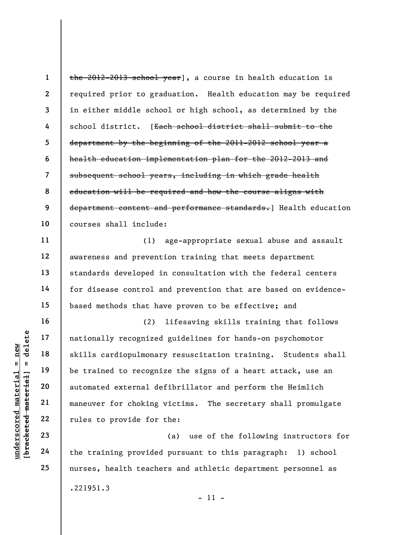1 2 3 4 5 6 7 8 9 10 the 2012-2013 school year], a course in health education is required prior to graduation. Health education may be required in either middle school or high school, as determined by the school district. [Each school district shall submit to the department by the beginning of the 2011-2012 school year a health education implementation plan for the 2012-2013 and subsequent school years, including in which grade health education will be required and how the course aligns with department content and performance standards.] Health education courses shall include:

(1) age-appropriate sexual abuse and assault awareness and prevention training that meets department standards developed in consultation with the federal centers for disease control and prevention that are based on evidencebased methods that have proven to be effective; and

underscored material = new [bracketed material] = delete (2) lifesaving skills training that follows nationally recognized guidelines for hands-on psychomotor skills cardiopulmonary resuscitation training. Students shall be trained to recognize the signs of a heart attack, use an automated external defibrillator and perform the Heimlich maneuver for choking victims. The secretary shall promulgate rules to provide for the:

(a) use of the following instructors for the training provided pursuant to this paragraph: 1) school nurses, health teachers and athletic department personnel as .221951.3

22 23 24

25

11

12

13

14

15

16

17

18

19

20

21

- 11 -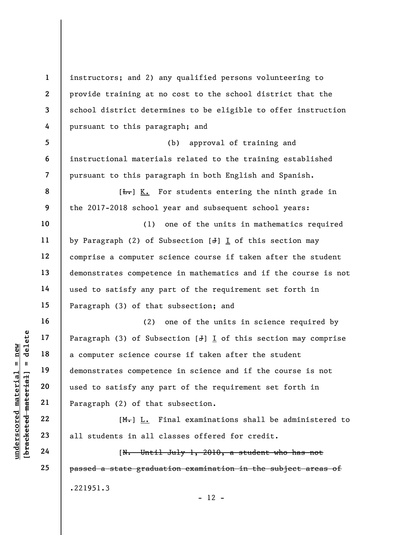underscored material = new [bracketed material] = delete 1 2 3 4 5 6 7 8 9 10 11 12 13 14 15 16 17 18 19 20 21 22 23 24 25 instructors; and 2) any qualified persons volunteering to provide training at no cost to the school district that the school district determines to be eligible to offer instruction pursuant to this paragraph; and (b) approval of training and instructional materials related to the training established pursuant to this paragraph in both English and Spanish.  $[\frac{L}{\sqrt{L}}]$  K. For students entering the ninth grade in the 2017-2018 school year and subsequent school years: (1) one of the units in mathematics required by Paragraph (2) of Subsection  $[J]$  I of this section may comprise a computer science course if taken after the student demonstrates competence in mathematics and if the course is not used to satisfy any part of the requirement set forth in Paragraph (3) of that subsection; and (2) one of the units in science required by Paragraph  $(3)$  of Subsection  $[J]$  I of this section may comprise a computer science course if taken after the student demonstrates competence in science and if the course is not used to satisfy any part of the requirement set forth in Paragraph (2) of that subsection. [M.] L. Final examinations shall be administered to all students in all classes offered for credit. [N. Until July 1, 2010, a student who has not passed a state graduation examination in the subject areas of .221951.3

 $- 12 -$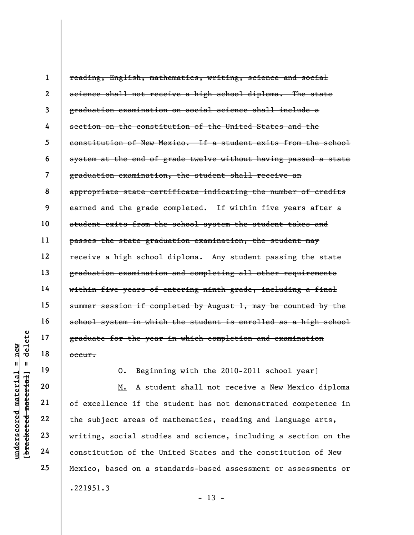1 2 3 4 5 6 7 8 9 10 11 12 13 14 15 16 17 18 reading, English, mathematics, writing, science and social science shall not receive a high school diploma. The state graduation examination on social science shall include a section on the constitution of the United States and the constitution of New Mexico. If a student exits from the school system at the end of grade twelve without having passed a state graduation examination, the student shall receive an appropriate state certificate indicating the number of credits earned and the grade completed. If within five years after a student exits from the school system the student takes and passes the state graduation examination, the student may receive a high school diploma. Any student passing the state graduation examination and completing all other requirements within five years of entering ninth grade, including a final summer session if completed by August 1, may be counted by the school system in which the student is enrolled as a high school graduate for the year in which completion and examination occur.

19

20

21

22

23

24

25

O. Beginning with the 2010-2011 school year]

 $\begin{array}{c|c|c} \mathbf{u} & \mathbf{u} & \mathbf{u} & \mathbf{v} & \mathbf{v} & \mathbf{v} & \mathbf{v} & \mathbf{v} & \mathbf{v} & \mathbf{v} & \mathbf{v} & \mathbf{v} & \mathbf{v} & \mathbf{v} & \mathbf{v} & \mathbf{v} & \mathbf{v} & \mathbf{v} & \mathbf{v} & \mathbf{v} & \mathbf{v} & \mathbf{v} & \mathbf{v} & \mathbf{v} & \mathbf{v} & \mathbf{v} & \mathbf{v} & \mathbf{v} & \mathbf{v} & \mathbf{v}$ M. A student shall not receive a New Mexico diploma of excellence if the student has not demonstrated competence in the subject areas of mathematics, reading and language arts, writing, social studies and science, including a section on the constitution of the United States and the constitution of New Mexico, based on a standards-based assessment or assessments or .221951.3

 $- 13 -$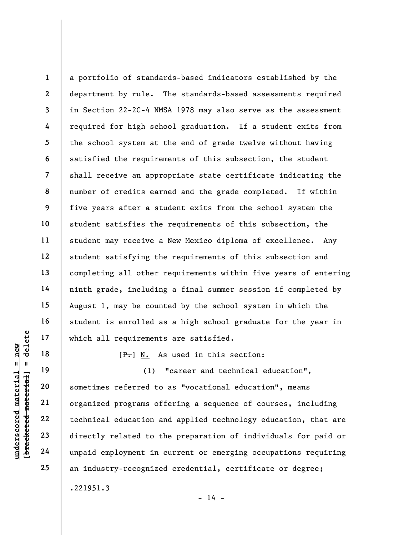1 2 3 4 5 6 7 8 9 10 11 12 13 14 15 16 17 a portfolio of standards-based indicators established by the department by rule. The standards-based assessments required in Section 22-2C-4 NMSA 1978 may also serve as the assessment required for high school graduation. If a student exits from the school system at the end of grade twelve without having satisfied the requirements of this subsection, the student shall receive an appropriate state certificate indicating the number of credits earned and the grade completed. If within five years after a student exits from the school system the student satisfies the requirements of this subsection, the student may receive a New Mexico diploma of excellence. Any student satisfying the requirements of this subsection and completing all other requirements within five years of entering ninth grade, including a final summer session if completed by August 1, may be counted by the school system in which the student is enrolled as a high school graduate for the year in which all requirements are satisfied.

 $[F-]$  N. As used in this section:

underscored to the same of the same of the same of the same of the same of the same of the same of the same of the same of the same of the same of the same of the same of the same of the same of the same of the same of the (1) "career and technical education", sometimes referred to as "vocational education", means organized programs offering a sequence of courses, including technical education and applied technology education, that are directly related to the preparation of individuals for paid or unpaid employment in current or emerging occupations requiring an industry-recognized credential, certificate or degree; .221951.3

18

19

20

21

22

23

24

25

 $- 14 -$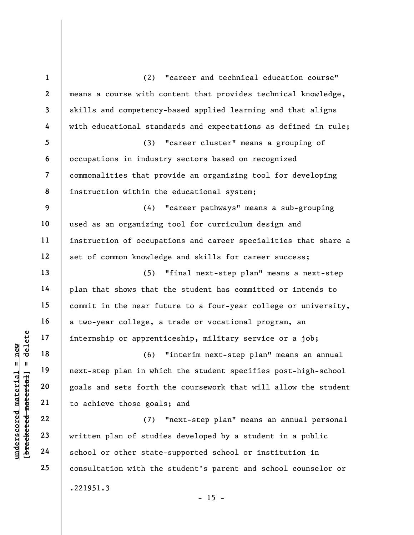|                                          | $\mathbf{1}$             | "career and technical education course"<br>(2)                  |
|------------------------------------------|--------------------------|-----------------------------------------------------------------|
|                                          | $\mathbf{2}$             | means a course with content that provides technical knowledge,  |
|                                          | $\overline{\mathbf{3}}$  | skills and competency-based applied learning and that aligns    |
|                                          | 4                        | with educational standards and expectations as defined in rule; |
|                                          | 5                        | "career cluster" means a grouping of<br>(3)                     |
|                                          | 6                        | occupations in industry sectors based on recognized             |
|                                          | $\overline{\mathcal{L}}$ | commonalities that provide an organizing tool for developing    |
|                                          | 8                        | instruction within the educational system;                      |
|                                          | 9                        | "career pathways" means a sub-grouping<br>(4)                   |
|                                          | 10                       | used as an organizing tool for curriculum design and            |
|                                          | 11                       | instruction of occupations and career specialities that share a |
|                                          | 12                       | set of common knowledge and skills for career success;          |
|                                          | 13                       | (5)<br>"final next-step plan" means a next-step                 |
|                                          | 14                       | plan that shows that the student has committed or intends to    |
|                                          | 15                       | commit in the near future to a four-year college or university, |
|                                          | 16                       | a two-year college, a trade or vocational program, an           |
| delete                                   | 17                       | internship or apprenticeship, military service or a job;        |
| new                                      | 18                       | (6)<br>"interim next-step plan" means an annual                 |
| Ш<br>ಸ                                   | 19                       | next-step plan in which the student specifies post-high-school  |
|                                          | 20                       | goals and sets forth the coursework that will allow the student |
|                                          | 21                       | to achieve those goals; and                                     |
| underscored materi<br>[bracketed materia | 22                       | "next-step plan" means an annual personal<br>(7)                |
|                                          | 23                       | written plan of studies developed by a student in a public      |
|                                          | 24                       | school or other state-supported school or institution in        |
|                                          | 25                       | consultation with the student's parent and school counselor or  |
|                                          |                          | .221951.3                                                       |

- 15 -